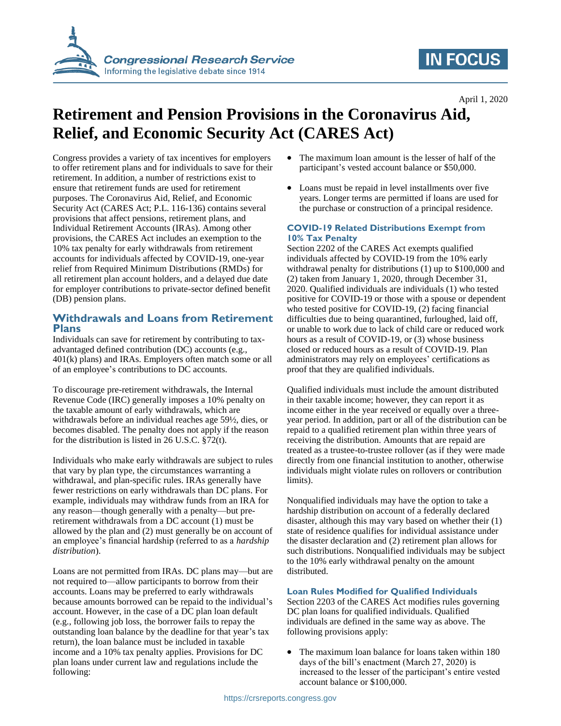

## **IN FOCUS**

April 1, 2020

# **Retirement and Pension Provisions in the Coronavirus Aid, Relief, and Economic Security Act (CARES Act)**

Congress provides a variety of tax incentives for employers to offer retirement plans and for individuals to save for their retirement. In addition, a number of restrictions exist to ensure that retirement funds are used for retirement purposes. The Coronavirus Aid, Relief, and Economic Security Act (CARES Act; P.L. 116-136) contains several provisions that affect pensions, retirement plans, and Individual Retirement Accounts (IRAs). Among other provisions, the CARES Act includes an exemption to the 10% tax penalty for early withdrawals from retirement accounts for individuals affected by COVID-19, one-year relief from Required Minimum Distributions (RMDs) for all retirement plan account holders, and a delayed due date for employer contributions to private-sector defined benefit (DB) pension plans.

## **Withdrawals and Loans from Retirement Plans**

Individuals can save for retirement by contributing to taxadvantaged defined contribution (DC) accounts (e.g., 401(k) plans) and IRAs. Employers often match some or all of an employee's contributions to DC accounts.

To discourage pre-retirement withdrawals, the Internal Revenue Code (IRC) generally imposes a 10% penalty on the taxable amount of early withdrawals, which are withdrawals before an individual reaches age 59½, dies, or becomes disabled. The penalty does not apply if the reason for the distribution is listed in 26 U.S.C. §72(t).

Individuals who make early withdrawals are subject to rules that vary by plan type, the circumstances warranting a withdrawal, and plan-specific rules. IRAs generally have fewer restrictions on early withdrawals than DC plans. For example, individuals may withdraw funds from an IRA for any reason—though generally with a penalty—but preretirement withdrawals from a DC account (1) must be allowed by the plan and (2) must generally be on account of an employee's financial hardship (referred to as a *hardship distribution*).

Loans are not permitted from IRAs. DC plans may—but are not required to—allow participants to borrow from their accounts. Loans may be preferred to early withdrawals because amounts borrowed can be repaid to the individual's account. However, in the case of a DC plan loan default (e.g., following job loss, the borrower fails to repay the outstanding loan balance by the deadline for that year's tax return), the loan balance must be included in taxable income and a 10% tax penalty applies. Provisions for DC plan loans under current law and regulations include the following:

- The maximum loan amount is the lesser of half of the participant's vested account balance or \$50,000.
- Loans must be repaid in level installments over five years. Longer terms are permitted if loans are used for the purchase or construction of a principal residence.

### **COVID-19 Related Distributions Exempt from 10% Tax Penalty**

Section 2202 of the CARES Act exempts qualified individuals affected by COVID-19 from the 10% early withdrawal penalty for distributions (1) up to \$100,000 and (2) taken from January 1, 2020, through December 31, 2020. Qualified individuals are individuals (1) who tested positive for COVID-19 or those with a spouse or dependent who tested positive for COVID-19, (2) facing financial difficulties due to being quarantined, furloughed, laid off, or unable to work due to lack of child care or reduced work hours as a result of COVID-19, or (3) whose business closed or reduced hours as a result of COVID-19. Plan administrators may rely on employees' certifications as proof that they are qualified individuals.

Qualified individuals must include the amount distributed in their taxable income; however, they can report it as income either in the year received or equally over a threeyear period. In addition, part or all of the distribution can be repaid to a qualified retirement plan within three years of receiving the distribution. Amounts that are repaid are treated as a trustee-to-trustee rollover (as if they were made directly from one financial institution to another, otherwise individuals might violate rules on rollovers or contribution limits).

Nonqualified individuals may have the option to take a hardship distribution on account of a federally declared disaster, although this may vary based on whether their (1) state of residence qualifies for individual assistance under the disaster declaration and (2) retirement plan allows for such distributions. Nonqualified individuals may be subject to the 10% early withdrawal penalty on the amount distributed.

### **Loan Rules Modified for Qualified Individuals**

Section 2203 of the CARES Act modifies rules governing DC plan loans for qualified individuals. Qualified individuals are defined in the same way as above. The following provisions apply:

 The maximum loan balance for loans taken within 180 days of the bill's enactment (March 27, 2020) is increased to the lesser of the participant's entire vested account balance or \$100,000.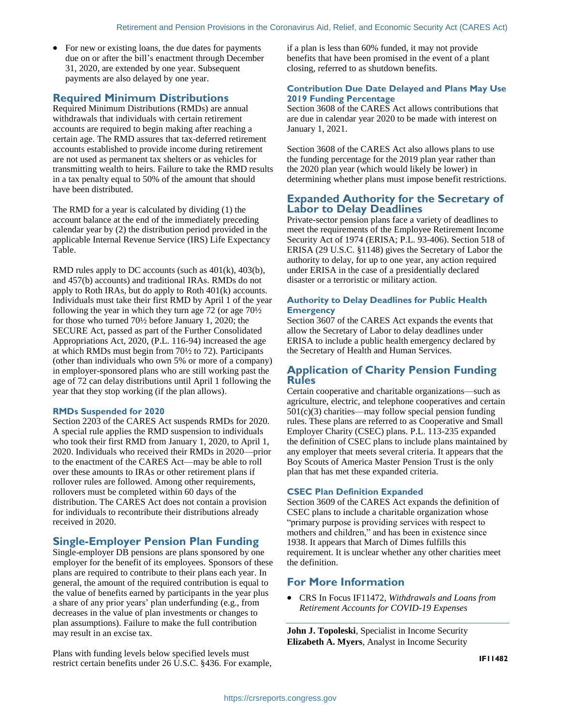• For new or existing loans, the due dates for payments due on or after the bill's enactment through December 31, 2020, are extended by one year. Subsequent payments are also delayed by one year.

## **Required Minimum Distributions**

Required Minimum Distributions (RMDs) are annual withdrawals that individuals with certain retirement accounts are required to begin making after reaching a certain age. The RMD assures that tax-deferred retirement accounts established to provide income during retirement are not used as permanent tax shelters or as vehicles for transmitting wealth to heirs. Failure to take the RMD results in a tax penalty equal to 50% of the amount that should have been distributed.

The RMD for a year is calculated by dividing (1) the account balance at the end of the immediately preceding calendar year by (2) the distribution period provided in the applicable Internal Revenue Service (IRS) Life Expectancy Table.

RMD rules apply to DC accounts (such as 401(k), 403(b), and 457(b) accounts) and traditional IRAs. RMDs do not apply to Roth IRAs, but do apply to Roth 401(k) accounts. Individuals must take their first RMD by April 1 of the year following the year in which they turn age 72 (or age 70½ for those who turned 70½ before January 1, 2020; the SECURE Act, passed as part of the Further Consolidated Appropriations Act, 2020, (P.L. 116-94) increased the age at which RMDs must begin from 70½ to 72). Participants (other than individuals who own 5% or more of a company) in employer-sponsored plans who are still working past the age of 72 can delay distributions until April 1 following the year that they stop working (if the plan allows).

#### **RMDs Suspended for 2020**

Section 2203 of the CARES Act suspends RMDs for 2020. A special rule applies the RMD suspension to individuals who took their first RMD from January 1, 2020, to April 1, 2020. Individuals who received their RMDs in 2020—prior to the enactment of the CARES Act—may be able to roll over these amounts to IRAs or other retirement plans if rollover rules are followed. Among other requirements, rollovers must be completed within 60 days of the distribution. The CARES Act does not contain a provision for individuals to recontribute their distributions already received in 2020.

## **Single-Employer Pension Plan Funding**

Single-employer DB pensions are plans sponsored by one employer for the benefit of its employees. Sponsors of these plans are required to contribute to their plans each year. In general, the amount of the required contribution is equal to the value of benefits earned by participants in the year plus a share of any prior years' plan underfunding (e.g., from decreases in the value of plan investments or changes to plan assumptions). Failure to make the full contribution may result in an excise tax.

Plans with funding levels below specified levels must restrict certain benefits under 26 U.S.C. §436. For example, if a plan is less than 60% funded, it may not provide benefits that have been promised in the event of a plant closing, referred to as shutdown benefits.

#### **Contribution Due Date Delayed and Plans May Use 2019 Funding Percentage**

Section 3608 of the CARES Act allows contributions that are due in calendar year 2020 to be made with interest on January 1, 2021.

Section 3608 of the CARES Act also allows plans to use the funding percentage for the 2019 plan year rather than the 2020 plan year (which would likely be lower) in determining whether plans must impose benefit restrictions.

## **Expanded Authority for the Secretary of Labor to Delay Deadlines**

Private-sector pension plans face a variety of deadlines to meet the requirements of the Employee Retirement Income Security Act of 1974 (ERISA; P.L. 93-406). Section 518 of ERISA (29 U.S.C. §1148) gives the Secretary of Labor the authority to delay, for up to one year, any action required under ERISA in the case of a presidentially declared disaster or a terroristic or military action.

#### **Authority to Delay Deadlines for Public Health Emergency**

Section 3607 of the CARES Act expands the events that allow the Secretary of Labor to delay deadlines under ERISA to include a public health emergency declared by the Secretary of Health and Human Services.

## **Application of Charity Pension Funding Rules**

Certain cooperative and charitable organizations—such as agriculture, electric, and telephone cooperatives and certain  $501(c)(3)$  charities—may follow special pension funding rules. These plans are referred to as Cooperative and Small Employer Charity (CSEC) plans. P.L. 113-235 expanded the definition of CSEC plans to include plans maintained by any employer that meets several criteria. It appears that the Boy Scouts of America Master Pension Trust is the only plan that has met these expanded criteria.

#### **CSEC Plan Definition Expanded**

Section 3609 of the CARES Act expands the definition of CSEC plans to include a charitable organization whose "primary purpose is providing services with respect to mothers and children," and has been in existence since 1938. It appears that March of Dimes fulfills this requirement. It is unclear whether any other charities meet the definition.

## **For More Information**

 CRS In Focus IF11472, *Withdrawals and Loans from Retirement Accounts for COVID-19 Expenses*

**John J. Topoleski**, Specialist in Income Security **Elizabeth A. Myers**, Analyst in Income Security